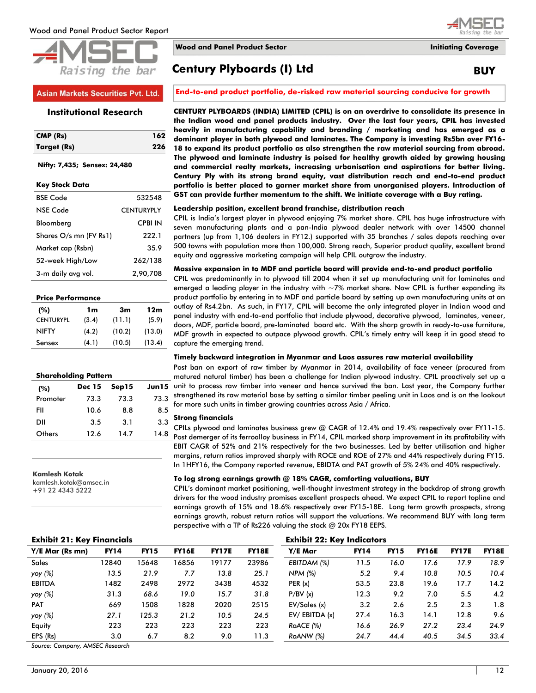



#### **Asian Markets Securities Pvt. Ltd.**

#### **Institutional Research**

| CMP (Rs)    | 162 |
|-------------|-----|
| Target (Rs) | 226 |

#### **Nifty: 7,435; Sensex: 24,480**

| <b>RSE Code</b>        | 532548            |
|------------------------|-------------------|
| <b>NSE Code</b>        | <b>CENTURYPLY</b> |
| Bloomberg              | <b>CPBI IN</b>    |
| Shares O/s mn (FV Rs1) | 222.1             |
| Market cap (Rsbn)      | 35.9              |
| 52-week High/Low       | 262/138           |
| 3-m daily avg vol.     | 2,90,708          |

| <b>Price Performance</b> |       |        |        |  |  |  |  |  |  |  |
|--------------------------|-------|--------|--------|--|--|--|--|--|--|--|
| (%)                      | 1m    | 3m     | 12m    |  |  |  |  |  |  |  |
| <b>CENTURYPL</b>         | (3.4) | (11.1) | (5.9)  |  |  |  |  |  |  |  |
| <b>NIFTY</b>             | (4.2) | (10.2) | (13.0) |  |  |  |  |  |  |  |
| Sensex                   | (4.1) | (10.5) | (13.4) |  |  |  |  |  |  |  |

| <b>Shareholding Pattern</b> |               |       |       |  |  |  |  |  |  |
|-----------------------------|---------------|-------|-------|--|--|--|--|--|--|
| (%)                         | <b>Dec 15</b> | Sep15 | Jun15 |  |  |  |  |  |  |
| Promoter                    | 73.3          | 73.3  | 73.3  |  |  |  |  |  |  |
| FII                         | 10.6          | 8.8   | 8.5   |  |  |  |  |  |  |
| DII                         | 3.5           | 3.1   | 3.3   |  |  |  |  |  |  |
| Others                      | 12.6          | 14.7  | 14.8  |  |  |  |  |  |  |

#### **Kamlesh Kotak**

kamlesh.kotak@amsec.in +91 22 4343 5222

**Wood and Panel Product Sector Initiating Coverage**

# **Century Plyboards (I) Ltd BUY**

**End-to-end product portfolio, de-risked raw material sourcing conducive for growth**

# **CENTURY PLYBOARDS (INDIA) LIMITED (CPIL) is on an overdrive to consolidate its presence in**

**the Indian wood and panel products industry. Over the last four years, CPIL has invested heavily in manufacturing capability and branding / marketing and has emerged as a dominant player in both plywood and laminates. The Company is investing Rs5bn over FY16- 18 to expand its product portfolio as also strengthen the raw material sourcing from abroad. The plywood and laminate industry is poised for healthy growth aided by growing housing and commercial realty markets, increasing urbanisation and aspirations for better living. Century Ply with its strong brand equity, vast distribution reach and end-to-end product portfolio is better placed to garner market share from unorganised players. Introduction of GST can provide further momentum to the shift. We initiate coverage with a Buy rating.** 

#### **Leadership position, excellent brand franchise, distribution reach**

CPIL is India"s largest player in plywood enjoying 7% market share. CPIL has huge infrastructure with seven manufacturing plants and a pan-India plywood dealer network with over 14500 channel partners (up from 1,106 dealers in FY12.) supported with 35 branches / sales depots reaching over 500 towns with population more than 100,000. Strong reach, Superior product quality, excellent brand equity and aggressive marketing campaign will help CPIL outgrow the industry.

#### **Massive expansion in to MDF and particle board will provide end-to-end product portfolio**

CPIL was predominantly in to plywood till 2004 when it set up manufacturing unit for laminates and emerged a leading player in the industry with  $-7%$  market share. Now CPIL is further expanding its product portfolio by entering in to MDF and particle board by setting up own manufacturing units at an outlay of Rs4.2bn. As such, in FY17, CPIL will become the only integrated player in Indian wood and panel industry with end-to-end portfolio that include plywood, decorative plywood, laminates, veneer, doors, MDF, particle board, pre-laminated board etc. With the sharp growth in ready-to-use furniture, MDF growth in expected to outpace plywood growth. CPIL"s timely entry will keep it in good stead to capture the emerging trend.

#### **Timely backward integration in Myanmar and Laos assures raw material availability**

Post ban on export of raw timber by Myanmar in 2014, availability of face veneer (procured from matured natural timber) has been a challenge for Indian plywood industry. CPIL proactively set up a unit to process raw timber into veneer and hence survived the ban. Last year, the Company further strengthened its raw material base by setting a similar timber peeling unit in Laos and is on the lookout for more such units in timber growing countries across Asia / Africa.

#### **Strong financials**

CPILs plywood and laminates business grew @ CAGR of 12.4% and 19.4% respectively over FY11-15. Post demerger of its ferroalloy business in FY14, CPIL marked sharp improvement in its profitability with EBIT CAGR of 52% and 21% respectively for the two businesses. Led by better utilisation and higher margins, return ratios improved sharply with ROCE and ROE of 27% and 44% respectively during FY15. In 1HFY16, the Company reported revenue, EBIDTA and PAT growth of 5% 24% and 40% respectively.

#### **To log strong earnings growth @ 18% CAGR, comforting valuations, BUY**

CPIL"s dominant market positioning, well-thought investment strategy in the backdrop of strong growth drivers for the wood industry promises excellent prospects ahead. We expect CPIL to report topline and earnings growth of 15% and 18.6% respectively over FY15-18E. Long term growth prospects, strong earnings growth, robust return ratios will support the valuations. We recommend BUY with long term perspective with a TP of Rs226 valuing the stock @ 20x FY18 EEPS.

| <b>Exhibit 21: Key Financials</b> | <b>Exhibit 22: Key Indicators</b> |             |              |              |              |                    |             |             |              |              |              |
|-----------------------------------|-----------------------------------|-------------|--------------|--------------|--------------|--------------------|-------------|-------------|--------------|--------------|--------------|
| Y/E Mar (Rs mn)                   | <b>FY14</b>                       | <b>FY15</b> | <b>FY16E</b> | <b>FY17E</b> | <b>FY18E</b> | Y/E Mar            | <b>FY14</b> | <b>FY15</b> | <b>FY16E</b> | <b>FY17E</b> | <b>FY18E</b> |
| <b>Sales</b>                      | 12840                             | 15648       | 16856        | 19177        | 23986        | EBITDAM (%)        | 11.5        | 16.0        | 17.6         | 17.9         | 18.9         |
| yoy (%)                           | 13.5                              | 21.9        | 7.7          | 13.8         | 25.1         | NPM (%)            | 5.2         | 9.4         | 10.8         | 10.5         | 10.4         |
| <b>EBITDA</b>                     | 1482                              | 2498        | 2972         | 3438         | 4532         | PER(x)             | 53.5        | 23.8        | 19.6         | 17.7         | 14.2         |
| yoy (%)                           | 31.3                              | 68.6        | 19.0         | 15.7         | 31.8         | P/BV(x)            | 12.3        | 9.2         | 7.0          | 5.5          | 4.2          |
| <b>PAT</b>                        | 669                               | 1508        | 1828         | 2020         | 2515         | EV/Sales(x)        | 3.2         | 2.6         | 2.5          | 2.3          | 1.8          |
| yoy (%)                           | 27.1                              | 125.3       | 21.2         | 10.5         | 24.5         | $EV/$ EBITDA $(x)$ | 27.4        | 16.3        | 14.1         | 12.8         | 9.6          |
| Equity                            | 223                               | 223         | 223          | 223          | 223          | ROACE (%)          | 16.6        | 26.9        | 27.2         | 23.4         | 24.9         |
| EPS (Rs)                          | 3.0                               | 6.7         | 8.2          | 9.0          | 11.3         | ROANW (%)          | 24.7        | 44.4        | 40.5         | 34.5         | 33.4         |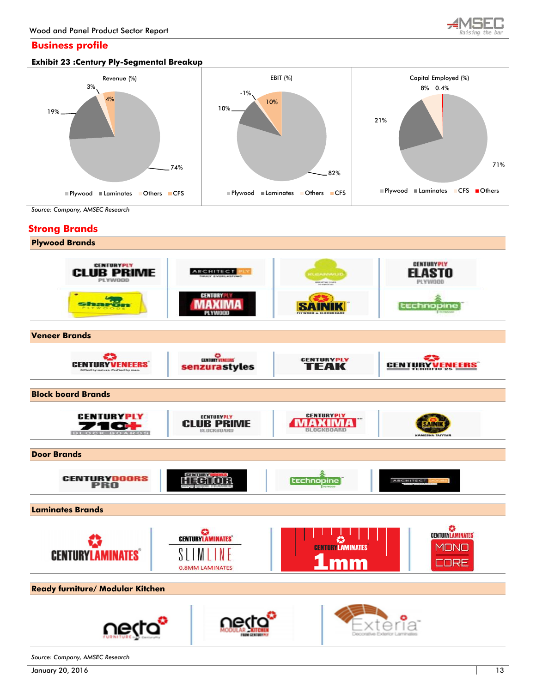

## **Business profile**





*Source: Company, AMSEC Research*

## **Strong Brands**

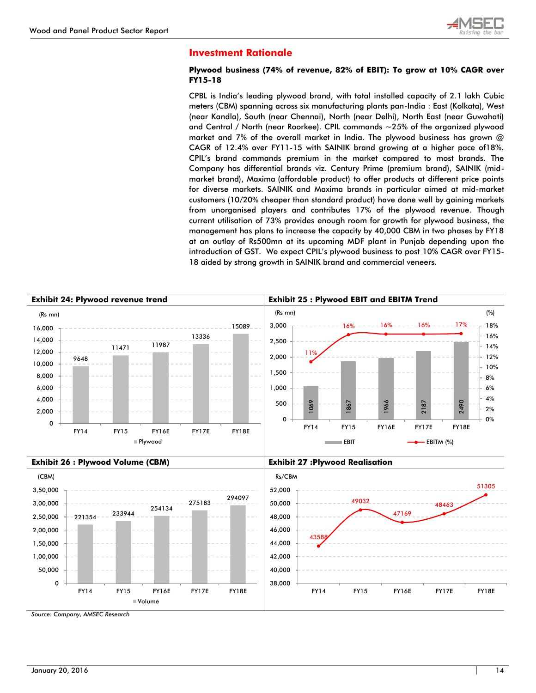

## **Investment Rationale**

#### **Plywood business (74% of revenue, 82% of EBIT): To grow at 10% CAGR over FY15-18**

CPBL is India"s leading plywood brand, with total installed capacity of 2.1 lakh Cubic meters (CBM) spanning across six manufacturing plants pan-India : East (Kolkata), West (near Kandla), South (near Chennai), North (near Delhi), North East (near Guwahati) and Central / North (near Roorkee). CPIL commands ~25% of the organized plywood market and 7% of the overall market in India. The plywood business has grown @ CAGR of 12.4% over FY11-15 with SAINIK brand growing at a higher pace of18%. CPIL"s brand commands premium in the market compared to most brands. The Company has differential brands viz. Century Prime (premium brand), SAINIK (midmarket brand), Maxima (affordable product) to offer products at different price points for diverse markets. SAINIK and Maxima brands in particular aimed at mid-market customers (10/20% cheaper than standard product) have done well by gaining markets from unorganised players and contributes 17% of the plywood revenue. Though current utilisation of 73% provides enough room for growth for plywood business, the management has plans to increase the capacity by 40,000 CBM in two phases by FY18 at an outlay of Rs500mn at its upcoming MDF plant in Punjab depending upon the introduction of GST. We expect CPIL"s plywood business to post 10% CAGR over FY15- 18 aided by strong growth in SAINIK brand and commercial veneers.

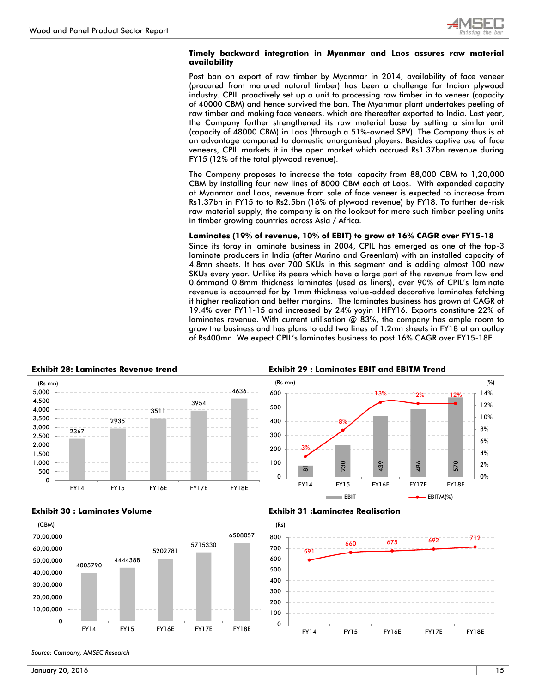

#### **Timely backward integration in Myanmar and Laos assures raw material availability**

Post ban on export of raw timber by Myanmar in 2014, availability of face veneer (procured from matured natural timber) has been a challenge for Indian plywood industry. CPIL proactively set up a unit to processing raw timber in to veneer (capacity of 40000 CBM) and hence survived the ban. The Myanmar plant undertakes peeling of raw timber and making face veneers, which are thereafter exported to India. Last year, the Company further strengthened its raw material base by setting a similar unit (capacity of 48000 CBM) in Laos (through a 51%-owned SPV). The Company thus is at an advantage compared to domestic unorganised players. Besides captive use of face veneers, CPIL markets it in the open market which accrued Rs1.37bn revenue during FY15 (12% of the total plywood revenue).

The Company proposes to increase the total capacity from 88,000 CBM to 1,20,000 CBM by installing four new lines of 8000 CBM each at Laos. With expanded capacity at Myanmar and Laos, revenue from sale of face veneer is expected to increase from Rs1.37bn in FY15 to to Rs2.5bn (16% of plywood revenue) by FY18. To further de-risk raw material supply, the company is on the lookout for more such timber peeling units in timber growing countries across Asia / Africa.

#### **Laminates (19% of revenue, 10% of EBIT) to grow at 16% CAGR over FY15-18**

Since its foray in laminate business in 2004, CPIL has emerged as one of the top-3 laminate producers in India (after Marino and Greenlam) with an installed capacity of 4.8mn sheets. It has over 700 SKUs in this segment and is adding almost 100 new SKUs every year. Unlike its peers which have a large part of the revenue from low end 0.6mmand 0.8mm thickness laminates (used as liners), over 90% of CPIL"s laminate revenue is accounted for by 1mm thickness value-added decorative laminates fetching it higher realization and better margins. The laminates business has grown at CAGR of 19.4% over FY11-15 and increased by 24% yoyin 1HFY16. Exports constitute 22% of laminates revenue. With current utilisation @ 83%, the company has ample room to grow the business and has plans to add two lines of 1.2mn sheets in FY18 at an outlay of Rs400mn. We expect CPIL"s laminates business to post 16% CAGR over FY15-18E.

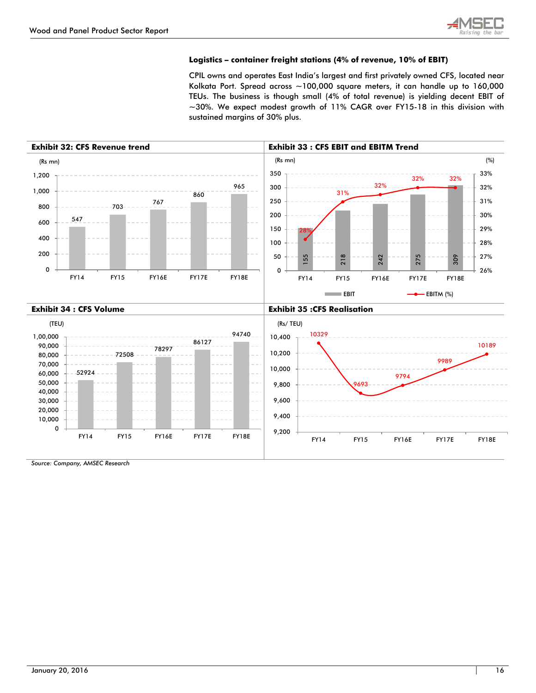

#### **Logistics – container freight stations (4% of revenue, 10% of EBIT)**

CPIL owns and operates East India"s largest and first privately owned CFS, located near Kolkata Port. Spread across ~100,000 square meters, it can handle up to 160,000 TEUs. The business is though small (4% of total revenue) is yielding decent EBIT of ~30%. We expect modest growth of 11% CAGR over FY15-18 in this division with sustained margins of 30% plus.

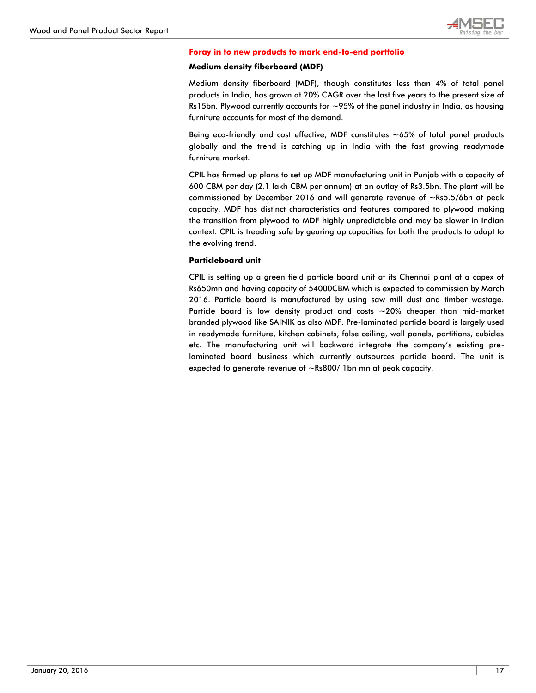

#### **Foray in to new products to mark end-to-end portfolio**

#### **Medium density fiberboard (MDF)**

Medium density fiberboard (MDF), though constitutes less than 4% of total panel products in India, has grown at 20% CAGR over the last five years to the present size of Rs15bn. Plywood currently accounts for  $\sim$ 95% of the panel industry in India, as housing furniture accounts for most of the demand.

Being eco-friendly and cost effective, MDF constitutes ~65% of total panel products globally and the trend is catching up in India with the fast growing readymade furniture market.

CPIL has firmed up plans to set up MDF manufacturing unit in Punjab with a capacity of 600 CBM per day (2.1 lakh CBM per annum) at an outlay of Rs3.5bn. The plant will be commissioned by December 2016 and will generate revenue of ~Rs5.5/6bn at peak capacity. MDF has distinct characteristics and features compared to plywood making the transition from plywood to MDF highly unpredictable and may be slower in Indian context. CPIL is treading safe by gearing up capacities for both the products to adapt to the evolving trend.

#### **Particleboard unit**

CPIL is setting up a green field particle board unit at its Chennai plant at a capex of Rs650mn and having capacity of 54000CBM which is expected to commission by March 2016. Particle board is manufactured by using saw mill dust and timber wastage. Particle board is low density product and costs  $\sim$  20% cheaper than mid-market branded plywood like SAINIK as also MDF. Pre-laminated particle board is largely used in readymade furniture, kitchen cabinets, false ceiling, wall panels, partitions, cubicles etc. The manufacturing unit will backward integrate the company"s existing prelaminated board business which currently outsources particle board. The unit is expected to generate revenue of ~Rs800/ 1bn mn at peak capacity.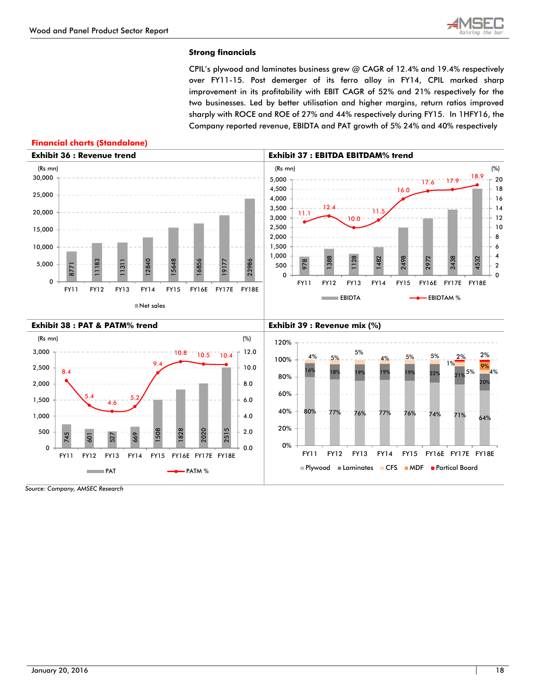**Financial charts (Standalone)**



### **Strong financials**

CPIL"s plywood and laminates business grew @ CAGR of 12.4% and 19.4% respectively over FY11-15. Post demerger of its ferro alloy in FY14, CPIL marked sharp improvement in its profitability with EBIT CAGR of 52% and 21% respectively for the two businesses. Led by better utilisation and higher margins, return ratios improved sharply with ROCE and ROE of 27% and 44% respectively during FY15. In 1HFY16, the Company reported revenue, EBIDTA and PAT growth of 5% 24% and 40% respectively

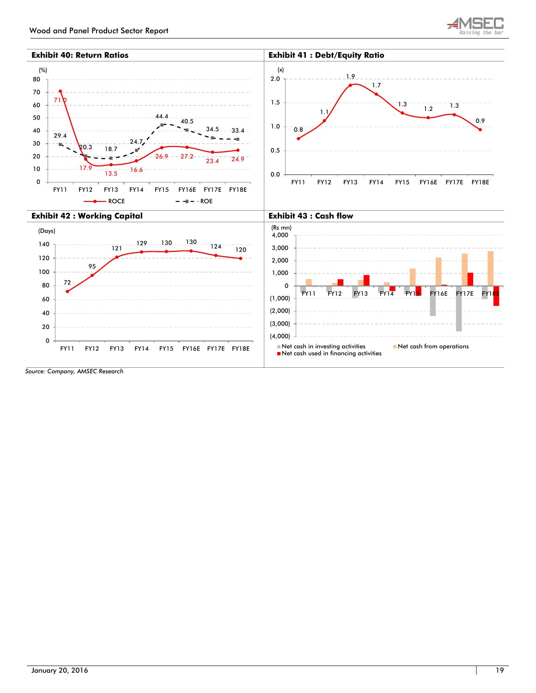

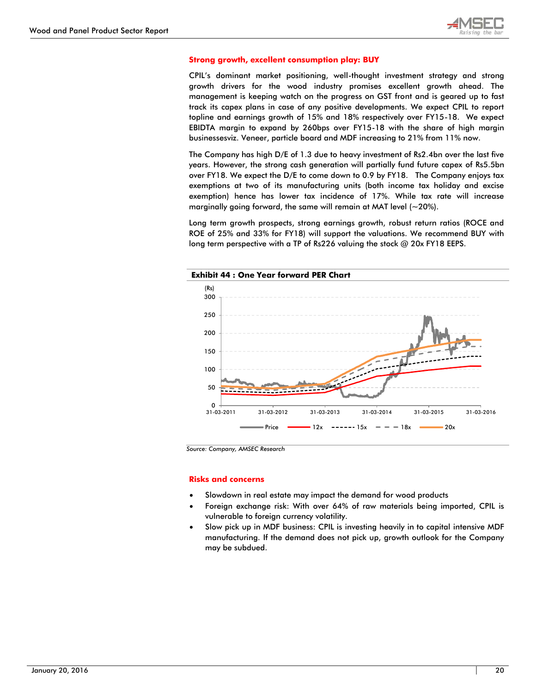

#### **Strong growth, excellent consumption play: BUY**

CPIL"s dominant market positioning, well-thought investment strategy and strong growth drivers for the wood industry promises excellent growth ahead. The management is keeping watch on the progress on GST front and is geared up to fast track its capex plans in case of any positive developments. We expect CPIL to report topline and earnings growth of 15% and 18% respectively over FY15-18. We expect EBIDTA margin to expand by 260bps over FY15-18 with the share of high margin businessesviz. Veneer, particle board and MDF increasing to 21% from 11% now.

The Company has high D/E of 1.3 due to heavy investment of Rs2.4bn over the last five years. However, the strong cash generation will partially fund future capex of Rs5.5bn over FY18. We expect the D/E to come down to 0.9 by FY18. The Company enjoys tax exemptions at two of its manufacturing units (both income tax holiday and excise exemption) hence has lower tax incidence of 17%. While tax rate will increase marginally going forward, the same will remain at MAT level  $(-20\%)$ .

Long term growth prospects, strong earnings growth, robust return ratios (ROCE and ROE of 25% and 33% for FY18) will support the valuations. We recommend BUY with long term perspective with a TP of Rs226 valuing the stock @ 20x FY18 EEPS.



*Source: Company, AMSEC Research*

#### **Risks and concerns**

- Slowdown in real estate may impact the demand for wood products
- Foreign exchange risk: With over 64% of raw materials being imported, CPIL is vulnerable to foreign currency volatility.
- Slow pick up in MDF business: CPIL is investing heavily in to capital intensive MDF manufacturing. If the demand does not pick up, growth outlook for the Company may be subdued.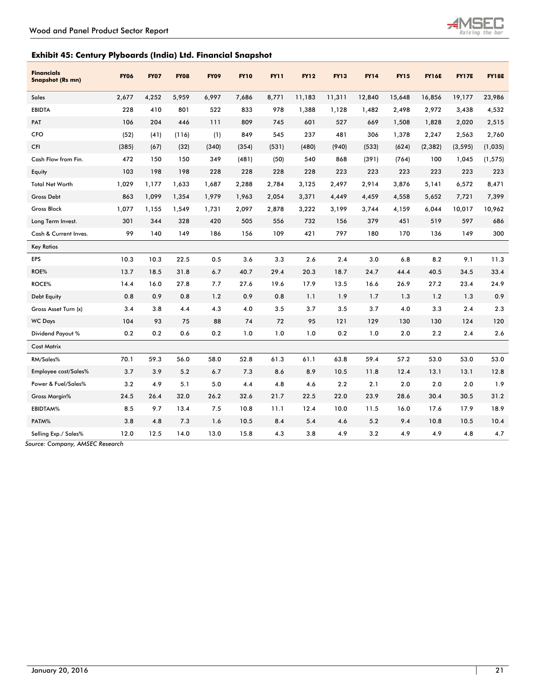

## **Exhibit 45: Century Plyboards (India) Ltd. Financial Snapshot**

| <b>Financials</b><br><b>Snapshot (Rs mn)</b> | <b>FY06</b> | <b>FY07</b> | <b>FY08</b> | <b>FY09</b> | <b>FY10</b> | <b>FY11</b> | <b>FY12</b> | <b>FY13</b> | <b>FY14</b> | <b>FY15</b> | <b>FY16E</b> | <b>FY17E</b> | <b>FY18E</b> |
|----------------------------------------------|-------------|-------------|-------------|-------------|-------------|-------------|-------------|-------------|-------------|-------------|--------------|--------------|--------------|
| <b>Sales</b>                                 | 2,677       | 4,252       | 5,959       | 6,997       | 7,686       | 8,771       | 11,183      | 11,311      | 12,840      | 15,648      | 16,856       | 19,177       | 23,986       |
| <b>EBIDTA</b>                                | 228         | 410         | 801         | 522         | 833         | 978         | 1,388       | 1,128       | 1,482       | 2,498       | 2,972        | 3,438        | 4,532        |
| PAT                                          | 106         | 204         | 446         | 111         | 809         | 745         | 601         | 527         | 669         | 1,508       | 1,828        | 2,020        | 2,515        |
| <b>CFO</b>                                   | (52)        | (41)        | (116)       | (1)         | 849         | 545         | 237         | 481         | 306         | 1,378       | 2,247        | 2,563        | 2,760        |
| CFI                                          | (385)       | (67)        | (32)        | (340)       | (354)       | (531)       | (480)       | (940)       | (533)       | (624)       | (2, 382)     | (3, 595)     | (1,035)      |
| Cash Flow from Fin.                          | 472         | 150         | 150         | 349         | (481)       | (50)        | 540         | 868         | (391)       | (764)       | 100          | 1,045        | (1, 575)     |
| Equity                                       | 103         | 198         | 198         | 228         | 228         | 228         | 228         | 223         | 223         | 223         | 223          | 223          | 223          |
| <b>Total Net Worth</b>                       | 1,029       | 1,177       | 1,633       | 1,687       | 2,288       | 2,784       | 3,125       | 2,497       | 2,914       | 3,876       | 5,141        | 6,572        | 8,471        |
| <b>Gross Debt</b>                            | 863         | 1.099       | 1,354       | 1,979       | 1,963       | 2,054       | 3,371       | 4,449       | 4,459       | 4,558       | 5,652        | 7,721        | 7,399        |
| <b>Gross Block</b>                           | 1,077       | 1,155       | 1,549       | 1,731       | 2,097       | 2,878       | 3,222       | 3,199       | 3,744       | 4,159       | 6,044        | 10,017       | 10,962       |
| Long Term Invest.                            | 301         | 344         | 328         | 420         | 505         | 556         | 732         | 156         | 379         | 451         | 519          | 597          | 686          |
| Cash & Current Inves.                        | 99          | 140         | 149         | 186         | 156         | 109         | 421         | 797         | 180         | 170         | 136          | 149          | 300          |
| <b>Key Ratios</b>                            |             |             |             |             |             |             |             |             |             |             |              |              |              |
| <b>EPS</b>                                   | 10.3        | 10.3        | 22.5        | 0.5         | 3.6         | 3.3         | 2.6         | 2.4         | 3.0         | 6.8         | 8.2          | 9.1          | 11.3         |
| ROE%                                         | 13.7        | 18.5        | 31.8        | 6.7         | 40.7        | 29.4        | 20.3        | 18.7        | 24.7        | 44.4        | 40.5         | 34.5         | 33.4         |
| ROCE%                                        | 14.4        | 16.0        | 27.8        | 7.7         | 27.6        | 19.6        | 17.9        | 13.5        | 16.6        | 26.9        | 27.2         | 23.4         | 24.9         |
| <b>Debt Equity</b>                           | 0.8         | 0.9         | 0.8         | 1.2         | 0.9         | 0.8         | 1.1         | 1.9         | 1.7         | 1.3         | 1.2          | 1.3          | 0.9          |
| Gross Asset Turn (x)                         | 3.4         | 3.8         | 4.4         | 4.3         | 4.0         | 3.5         | 3.7         | 3.5         | 3.7         | 4.0         | 3.3          | 2.4          | 2.3          |
| <b>WC Days</b>                               | 104         | 93          | 75          | 88          | 74          | 72          | 95          | 121         | 129         | 130         | 130          | 124          | 120          |
| Dividend Payout %                            | 0.2         | 0.2         | 0.6         | 0.2         | 1.0         | 1.0         | 1.0         | 0.2         | 1.0         | 2.0         | 2.2          | 2.4          | 2.6          |
| <b>Cost Matrix</b>                           |             |             |             |             |             |             |             |             |             |             |              |              |              |
| RM/Sales%                                    | 70.1        | 59.3        | 56.0        | 58.0        | 52.8        | 61.3        | 61.1        | 63.8        | 59.4        | 57.2        | 53.0         | 53.0         | 53.0         |
| Employee cost/Sales%                         | 3.7         | 3.9         | 5.2         | 6.7         | 7.3         | 8.6         | 8.9         | 10.5        | 11.8        | 12.4        | 13.1         | 13.1         | 12.8         |
| Power & Fuel/Sales%                          | 3.2         | 4.9         | 5.1         | 5.0         | 4.4         | 4.8         | 4.6         | 2.2         | 2.1         | 2.0         | 2.0          | 2.0          | 1.9          |
| <b>Gross Margin%</b>                         | 24.5        | 26.4        | 32.0        | 26.2        | 32.6        | 21.7        | 22.5        | 22.0        | 23.9        | 28.6        | 30.4         | 30.5         | 31.2         |
| EBIDTAM%                                     | 8.5         | 9.7         | 13.4        | 7.5         | 10.8        | 11.1        | 12.4        | 10.0        | 11.5        | 16.0        | 17.6         | 17.9         | 18.9         |
| PATM%                                        | 3.8         | 4.8         | 7.3         | 1.6         | 10.5        | 8.4         | 5.4         | 4.6         | 5.2         | 9.4         | 10.8         | 10.5         | 10.4         |
| Selling Exp./ Sales%                         | 12.0        | 12.5        | 14.0        | 13.0        | 15.8        | 4.3         | 3.8         | 4.9         | 3.2         | 4.9         | 4.9          | 4.8          | 4.7          |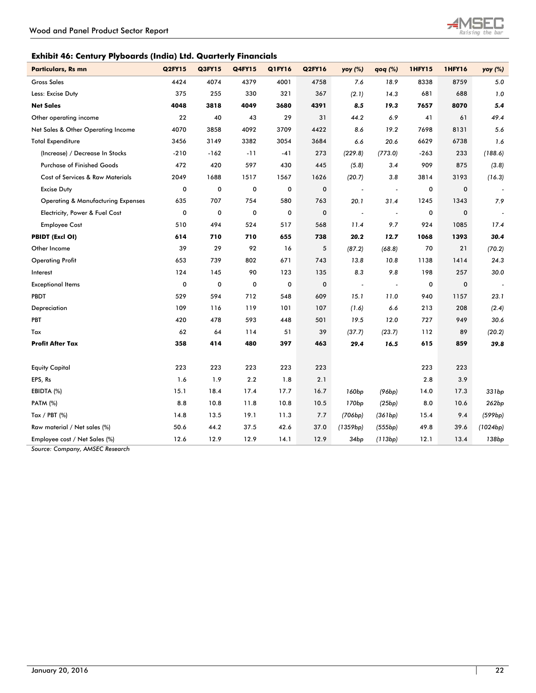L

## **Exhibit 46: Century Plyboards (India) Ltd. Quarterly Financials**

| <b>Q2FY15</b> | Q3FY15      | <b>Q4FY15</b> | Q1FY16 | <b>Q2FY16</b> | yoy (%)                  | qoq (%)                  | 1HFY15 | <b>1HFY16</b> | yoy (%)  |
|---------------|-------------|---------------|--------|---------------|--------------------------|--------------------------|--------|---------------|----------|
| 4424          | 4074        | 4379          | 4001   | 4758          | 7.6                      | 18.9                     | 8338   | 8759          | 5.0      |
| 375           | 255         | 330           | 321    | 367           | (2.1)                    | 14.3                     | 681    | 688           | 1.0      |
| 4048          | 3818        | 4049          | 3680   | 4391          | 8.5                      | 19.3                     | 7657   | 8070          | 5.4      |
| 22            | 40          | 43            | 29     | 31            | 44.2                     | 6.9                      | 41     | 61            | 49.4     |
| 4070          | 3858        | 4092          | 3709   | 4422          | 8.6                      | 19.2                     | 7698   | 8131          | 5.6      |
| 3456          | 3149        | 3382          | 3054   | 3684          | 6.6                      | 20.6                     | 6629   | 6738          | 1.6      |
| $-210$        | $-162$      | $-11$         | $-41$  | 273           | (229.8)                  | (773.0)                  | $-263$ | 233           | (188.6)  |
| 472           | 420         | 597           | 430    | 445           | (5.8)                    | 3.4                      | 909    | 875           | (3.8)    |
| 2049          | 1688        | 1517          | 1567   | 1626          | (20.7)                   | 3.8                      | 3814   | 3193          | (16.3)   |
| 0             | $\pmb{0}$   | 0             | 0      | 0             | $\overline{\phantom{a}}$ | $\overline{\phantom{a}}$ | 0      | 0             |          |
| 635           | 707         | 754           | 580    | 763           | 20.1                     | 31.4                     | 1245   | 1343          | 7.9      |
| 0             | 0           | 0             | 0      | $\pmb{0}$     | $\overline{\phantom{a}}$ | $\overline{\phantom{a}}$ | 0      | 0             |          |
| 510           | 494         | 524           | 517    | 568           | 11.4                     | 9.7                      | 924    | 1085          | 17.4     |
| 614           | 710         | 710           | 655    | 738           | 20.2                     | 12.7                     | 1068   | 1393          | 30.4     |
| 39            | 29          | 92            | 16     | 5             | (87.2)                   | (68.8)                   | 70     | 21            | (70.2)   |
| 653           | 739         | 802           | 671    | 743           | 13.8                     | 10.8                     | 1138   | 1414          | 24.3     |
| 124           | 145         | 90            | 123    | 135           | 8.3                      | 9.8                      | 198    | 257           | 30.0     |
| 0             | $\mathbf 0$ | $\mathbf 0$   | 0      | $\mathbf 0$   | $\overline{\phantom{a}}$ | $\overline{\phantom{a}}$ | 0      | $\mathbf 0$   |          |
| 529           | 594         | 712           | 548    | 609           | 15.1                     | 11.0                     | 940    | 1157          | 23.1     |
| 109           | 116         | 119           | 101    | 107           | (1.6)                    | 6.6                      | 213    | 208           | (2.4)    |
| 420           | 478         | 593           | 448    | 501           | 19.5                     | 12.0                     | 727    | 949           | 30.6     |
| 62            | 64          | 114           | 51     | 39            | (37.7)                   | (23.7)                   | 112    | 89            | (20.2)   |
| 358           | 414         | 480           | 397    | 463           | 29.4                     | 16.5                     | 615    | 859           | 39.8     |
|               |             |               |        |               |                          |                          |        |               |          |
| 223           | 223         | 223           | 223    | 223           |                          |                          | 223    | 223           |          |
| 1.6           | 1.9         | 2.2           | 1.8    | 2.1           |                          |                          | 2.8    | 3.9           |          |
| 15.1          | 18.4        | 17.4          | 17.7   | 16.7          | 160 <sub>bp</sub>        | (96bp)                   | 14.0   | 17.3          | 331bp    |
| 8.8           | 10.8        | 11.8          | 10.8   | 10.5          | 170 <sub>bp</sub>        | (25bp)                   | 8.0    | 10.6          | 262bp    |
| 14.8          | 13.5        | 19.1          | 11.3   | 7.7           | (706bp)                  | (361bp)                  | 15.4   | 9.4           | (599bp)  |
| 50.6          | 44.2        | 37.5          | 42.6   | 37.0          | (1359bp)                 | (555bp)                  | 49.8   | 39.6          | (1024bp) |
| 12.6          | 12.9        | 12.9          | 14.1   | 12.9          | 34bp                     | (113bp)                  | 12.1   | 13.4          | 138bp    |
|               |             |               |        |               |                          |                          |        |               |          |

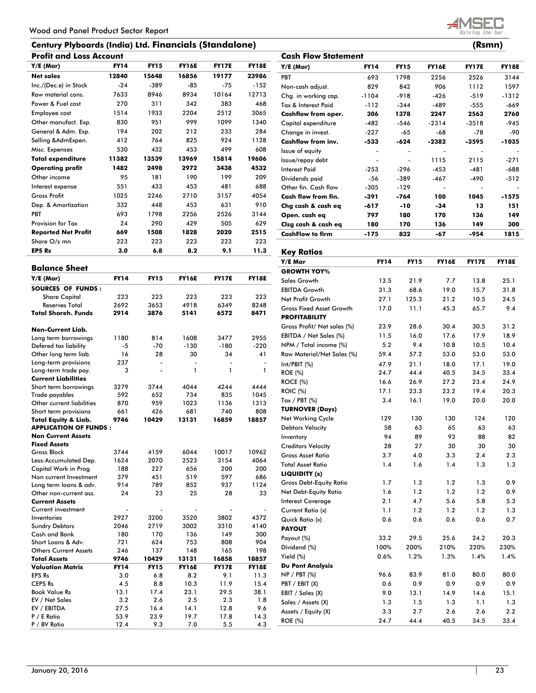## **Century Plyboards (India) Ltd. Financials (Standalone)**

| <b>Profit and Loss Account</b> |             |             |              |              |              |  |  |  |  |  |
|--------------------------------|-------------|-------------|--------------|--------------|--------------|--|--|--|--|--|
| $Y/E$ (Mar)                    | <b>FY14</b> | <b>FY15</b> | <b>FY16E</b> | <b>FY17E</b> | <b>FY18E</b> |  |  |  |  |  |
| <b>Net sales</b>               | 12840       | 15648       | 16856        | 19177        | 23986        |  |  |  |  |  |
| Inc./(Dec.e) in Stock          | $-24$       | $-389$      | $-85$        | $-75$        | $-152$       |  |  |  |  |  |
| Raw material cons.             | 7633        | 8946        | 8934         | 10164        | 12713        |  |  |  |  |  |
| Power & Fuel cost              | 270         | 311         | 342          | 383          | 468          |  |  |  |  |  |
| Employee cost                  | 1514        | 1933        | 2204         | 2512         | 3065         |  |  |  |  |  |
| Other manufact. Exp.           | 830         | 951         | 999          | 1099         | 1340         |  |  |  |  |  |
| General & Adm. Exp.            | 194         | 202         | 212          | 233          | 284          |  |  |  |  |  |
| Selling & AdmExpen.            | 412         | 764         | 825          | 924          | 1128         |  |  |  |  |  |
| Misc. Expenses                 | 530         | 432         | 453          | 499          | 608          |  |  |  |  |  |
| <b>Total expenditure</b>       | 11382       | 13539       | 13969        | 15814        | 19606        |  |  |  |  |  |
| <b>Operating profit</b>        | 1482        | 2498        | 2972         | 3438         | 4532         |  |  |  |  |  |
| Other income                   | 95          | 181         | 190          | 199          | 209          |  |  |  |  |  |
| Interest expense               | 551         | 433         | 453          | 481          | 688          |  |  |  |  |  |
| <b>Gross Profit</b>            | 1025        | 2246        | 2710         | 3157         | 4054         |  |  |  |  |  |
| Dep. & Amortization            | 332         | 448         | 453          | 631          | 910          |  |  |  |  |  |
| <b>PBT</b>                     | 693         | 1798        | 2256         | 2526         | 3144         |  |  |  |  |  |
| <b>Provision for Tax</b>       | 24          | 290         | 429          | 505          | 629          |  |  |  |  |  |
| <b>Reported Net Profit</b>     | 669         | 1508        | 1828         | 2020         | 2515         |  |  |  |  |  |
| Share O/s mn                   | 223         | 223         | 223          | 223          | 223          |  |  |  |  |  |
| <b>EPS Rs</b>                  | 3.0         | 6.8         | 8.2          | 9.1          | 11.3         |  |  |  |  |  |

| <b>Balance Sheet</b>            |             |                |                |              |              |
|---------------------------------|-------------|----------------|----------------|--------------|--------------|
| $Y/E$ (Mar)                     | <b>FY14</b> | <b>FY15</b>    | <b>FY16E</b>   | <b>FY17E</b> | <b>FY18E</b> |
| <b>SOURCES OF FUNDS:</b>        |             |                |                |              |              |
| <b>Share Capital</b>            | 223         | 223            | 223            | 223          | 223          |
| <b>Reserves Total</b>           | 2692        | 3653           | 4918           | 6349         | 8248         |
| Total Shareh, Funds             | 2914        | 3876           | 5141           | 6572         | 8471         |
| <b>Non-Current Liab.</b>        |             |                |                |              |              |
| Long term borrowings            | 1180        | 814            | 1608           | 3477         | 2955         |
| Defered tax liability           | $-5$        | $-70$          | $-130$         | $-180$       | $-220$       |
| Other long term liab.           | 16          | 28             | 30             | 34           | 41           |
| Long-term provisions            | 237         | $\overline{a}$ | $\overline{a}$ |              |              |
| Long-term trade pay.            | 3           |                | 1              | 1            | 1            |
| <b>Current Liabilities</b>      |             |                |                |              |              |
| Short term borrowings           | 3279        | 3744           | 4044           | 4244         | 4444         |
| Trade payables                  | 592         | 652            | 734            | 835          | 1045         |
| Other current liabilities       | 870         | 959            | 1023           | 1136         | 1313         |
| Short term provisions           | 661         | 426            | 681            | 740          | 808          |
| <b>Total Equity &amp; Liab.</b> | 9746        | 10429          | 13131          | 16859        | 18857        |
| <b>APPLICATION OF FUNDS:</b>    |             |                |                |              |              |
| <b>Non Current Assets</b>       |             |                |                |              |              |
| <b>Fixed Assets</b>             |             |                |                |              |              |
| <b>Gross Block</b>              | 3744        | 4159           | 6044           | 10017        | 10962        |
| Less:Accumulated Dep.           | 1624        | 2070           | 2523           | 3154         | 4064         |
| Capital Work in Prog.           | 188         | 227            | 656            | 200          | 200          |
| Non current Investment          | 379         | 451            | 519            | 597          | 686          |
| Long term loans & adv.          | 914         | 789            | 852            | 937          | 1124         |
| Other non-current ass.          | 24          | 23             | 25             | 28           | 33           |
| <b>Current Assets</b>           |             |                |                |              |              |
| Current investment              |             |                |                |              |              |
| Inventories                     | 2927        | 3200           | 3520           | 3802         | 4372         |
| <b>Sundry Debtors</b>           | 2046        | 2719           | 3002           | 3310         | 4140         |
| Cash and Bank                   | 180         | 170            | 136            | 149          | 300          |
| Short Loans & Adv.              | 721         | 624            | 753            | 808          | 904          |
| <b>Others Current Assets</b>    | 246         | 137            | 148            | 165          | 198          |
| <b>Total Assets</b>             | 9746        | 10429          | 13131          | 16858        | 18857        |
| <b>Valuation Matrix</b>         | <b>FY14</b> | <b>FY15</b>    | <b>FY16E</b>   | <b>FY17E</b> | <b>FY18E</b> |
| <b>EPS Rs</b>                   | 3.0         | 6.8            | 8.2            | 9.1          | 11.3         |
| <b>CEPS Rs</b>                  | 4.5         | 8.8            | 10.3           | 11.9         | 15.4         |
| <b>Book Value Rs</b>            | 13.1        | 17.4           | 23.1           | 29.5         | 38.1         |
| EV / Net Sales                  | 3.2         | 2.6            | 2.5            | 2.3          | 1.8          |
| EV / EBITDA                     | 27.5        | 16.4           | 14.1           | 12.8         | 9.6          |
| P / E Ratio                     | 53.9        | 23.9           | 19.7           | 17.8         | 14.3         |
| P / BV Ratio                    | 12.4        | 9.3            | 7.0            | 5.5          | 4.3          |

|                            |             |             |              | (KSMN)       |              |
|----------------------------|-------------|-------------|--------------|--------------|--------------|
| <b>Cash Flow Statement</b> |             |             |              |              |              |
| Y/E (Mar)                  | <b>FY14</b> | <b>FY15</b> | <b>FY16E</b> | <b>FY17E</b> | <b>FY18E</b> |
| <b>PBT</b>                 | 693         | 1798        | 2256         | 2526         | 3144         |
| Non-cash adjust.           | 829         | 842         | 906          | 1112         | 1597         |
| Chg. in working cap.       | $-1104$     | $-918$      | $-426$       | $-519$       | $-1312$      |
| Tax & Interest Paid        | $-112$      | $-344$      | $-489$       | $-555$       | $-669$       |
| Cashflow from oper.        | 306         | 1378        | 2247         | 2563         | 2760         |
| Capital expenditure        | $-482$      | $-546$      | $-2314$      | $-3518$      | $-945$       |
| Change in invest.          | $-227$      | $-65$       | $-68$        | $-78$        | -90          |
| Cashflow from inv.         | -533        | $-624$      | $-2382$      | -3595        | $-1035$      |
| Issue of equity            |             |             |              |              |              |
| Issue/repay debt           |             |             | 1115         | 2115         | $-271$       |
| Interest Paid              | $-253$      | $-296$      | $-453$       | $-481$       | $-688$       |
| Dividends paid             | -56         | $-389$      | $-467$       | $-490$       | $-512$       |
| Other fin. Cash flow       | $-305$      | $-129$      |              |              |              |
| Cash flow from fin.        | -391        | $-764$      | 100          | 1045         | -1575        |
| Chg cash & cash eq         | -617        | $-10$       | $-34$        | 13           | 151          |
| Open. cash eq              | 797         | 180         | 170          | 136          | 149          |
| Clsg cash & cash eq        | 180         | 170         | 136          | 149          | 300          |
| <b>CashFlow to firm</b>    | $-175$      | 832         | -67          | -954         | 1815         |
|                            |             |             |              |              |              |

## 11.3 Key Ratios

| Y/E Mar                         | <b>FY14</b> | <b>FY15</b> | <b>FY16E</b> | <b>FY17E</b> | <b>FY18E</b> |
|---------------------------------|-------------|-------------|--------------|--------------|--------------|
| <b>GROWTH YOY%</b>              |             |             |              |              |              |
| Sales Growth                    | 13.5        | 21.9        | 7.7          | 13.8         | 25.1         |
| <b>EBITDA Growth</b>            | 31.3        | 68.6        | 19.0         | 15.7         | 31.8         |
| Net Profit Growth               | 27.1        | 125.3       | 21.2         | 10.5         | 24.5         |
| <b>Gross Fixed Asset Growth</b> | 17.0        | 11.1        | 45.3         | 65.7         | 9.4          |
| <b>PROFITABILITY</b>            |             |             |              |              |              |
| Gross Profit/ Net sales (%)     | 23.9        | 28.6        | 30.4         | 30.5         | 31.2         |
| EBITDA / Net Sales (%)          | 11.5        | 16.0        | 17.6         | 17.9         | 18.9         |
| NPM / Total income (%)          | 5.2         | 9.4         | 10.8         | 10.5         | 10.4         |
| Raw Material/Net Sales (%)      | 59.4        | 57.2        | 53.0         | 53.0         | 53.0         |
| Int/PBIT (%)                    | 47.9        | 21.1        | 18.0         | 17.1         | 19.0         |
| <b>ROE</b> (%)                  | 24.7        | 44.4        | 40.5         | 34.5         | 33.4         |
| <b>ROCE (%)</b>                 | 16.6        | 26.9        | 27.2         | 23.4         | 24.9         |
| <b>ROIC (%)</b>                 | 17.1        | 23.3        | 23.2         | 19.4         | 20.3         |
| Tax / PBT $(\%)$                | 3.4         | 16.1        | 19.0         | 20.0         | 20.0         |
| <b>TURNOVER (Days)</b>          |             |             |              |              |              |
| <b>Net Working Cycle</b>        | 129         | 130         | 130          | 124          | 120          |
| <b>Debtors Velocity</b>         | 58          | 63          | 65           | 63           | 63           |
| Inventory                       | 94          | 89          | 93           | 88           | 82           |
| <b>Creditors Velocity</b>       | 28          | 27          | 30           | 30           | 30           |
| <b>Gross Asset Ratio</b>        | 3.7         | 4.0         | 3.3          | 2.4          | 2.3          |
| <b>Total Asset Ratio</b>        | 1.4         | 1.6         | 1.4          | 1.3          | 1.3          |
| LIQUIDITY (x)                   |             |             |              |              |              |
| <b>Gross Debt-Equity Ratio</b>  | 1.7         | 1.3         | 1.2          | 1.3          | 0.9          |
| Net Debt-Equity Ratio           | 1.6         | 1.2         | 1.2          | 1.2          | 0.9          |
| <b>Interest Coverage</b>        | 2.1         | 4.7         | 5.6          | 5.8          | 5.3          |
| Current Ratio (x)               | 1.1         | 1.2         | 1.2          | 1.2          | 1.3          |
| Quick Ratio (x)                 | 0.6         | 0.6         | 0.6          | 0.6          | 0.7          |
| <b>PAYOUT</b>                   |             |             |              |              |              |
| Payout (%)                      | 33.2        | 29.5        | 25.6         | 24.2         | 20.3         |
| Dividend (%)                    | 100%        | 200%        | 210%         | 220%         | 230%         |
| Yield (%)                       | 0.6%        | 1.2%        | 1.3%         | 1.4%         | 1.4%         |
| <b>Du Pont Analysis</b>         |             |             |              |              |              |
| NP / PBT (%)                    | 96.6        | 83.9        | 81.0         | 80.0         | 80.0         |
| PBT / EBIT (X)                  | 0.6         | 0.9         | 0.9          | 0.9          | 0.9          |
| EBIT / Sales (X)                | 9.0         | 13.1        | 14.9         | 14.6         | 15.1         |
| Sales / Assets (X)              | 1.3         | 1.5         | 1.3          | 1.1          | 1.3          |
| Assets / Equity (X)             | 3.3         | 2.7         | 2.6          | 2.6          | 2.2          |
| <b>ROE</b> (%)                  | 24.7        | 44.4        | 40.5         | 34.5         | 33.4         |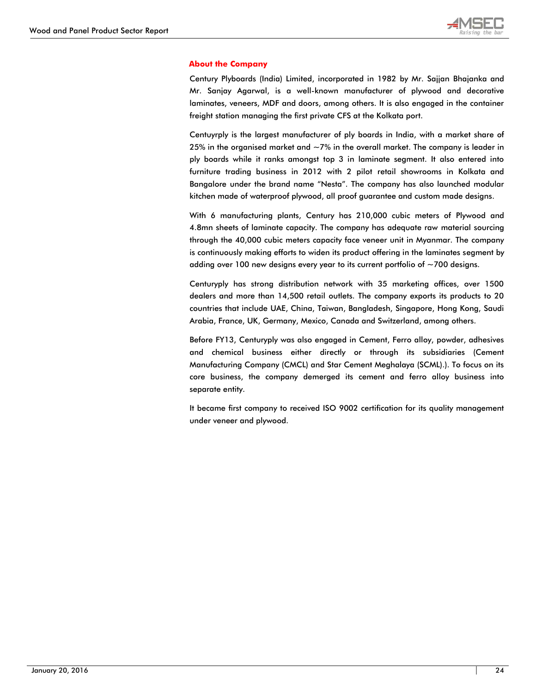

#### **About the Company**

Century Plyboards (India) Limited, incorporated in 1982 by Mr. Sajjan Bhajanka and Mr. Sanjay Agarwal, is a well-known manufacturer of plywood and decorative laminates, veneers, MDF and doors, among others. It is also engaged in the container freight station managing the first private CFS at the Kolkata port.

Centuyrply is the largest manufacturer of ply boards in India, with a market share of 25% in the organised market and  $\sim$  7% in the overall market. The company is leader in ply boards while it ranks amongst top 3 in laminate segment. It also entered into furniture trading business in 2012 with 2 pilot retail showrooms in Kolkata and Bangalore under the brand name "Nesta". The company has also launched modular kitchen made of waterproof plywood, all proof guarantee and custom made designs.

With 6 manufacturing plants, Century has 210,000 cubic meters of Plywood and 4.8mn sheets of laminate capacity. The company has adequate raw material sourcing through the 40,000 cubic meters capacity face veneer unit in Myanmar. The company is continuously making efforts to widen its product offering in the laminates segment by adding over 100 new designs every year to its current portfolio of  $\sim$  700 designs.

Centuryply has strong distribution network with 35 marketing offices, over 1500 dealers and more than 14,500 retail outlets. The company exports its products to 20 countries that include UAE, China, Taiwan, Bangladesh, Singapore, Hong Kong, Saudi Arabia, France, UK, Germany, Mexico, Canada and Switzerland, among others.

Before FY13, Centuryply was also engaged in Cement, Ferro alloy, powder, adhesives and chemical business either directly or through its subsidiaries (Cement Manufacturing Company (CMCL) and Star Cement Meghalaya (SCML).). To focus on its core business, the company demerged its cement and ferro alloy business into separate entity.

It became first company to received ISO 9002 certification for its quality management under veneer and plywood.